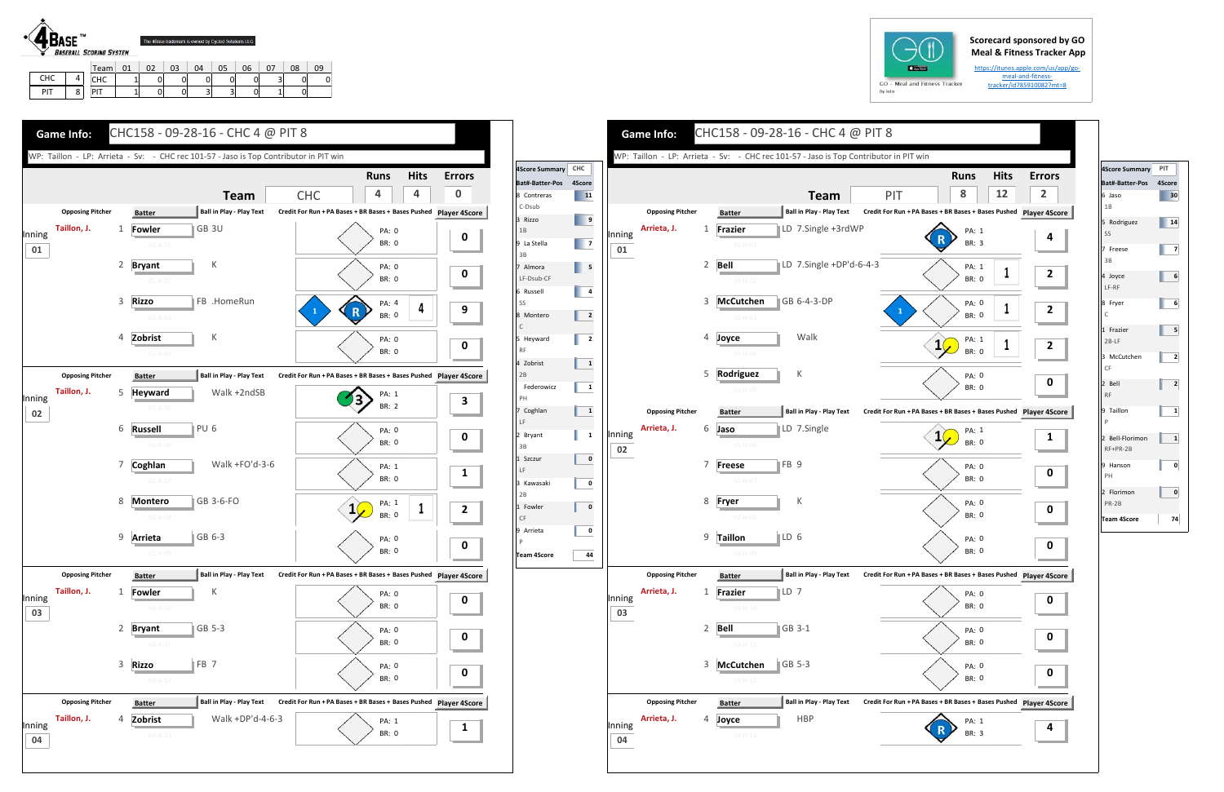## **Scorecard sponsored by GO Meal & Fitness Tracker App**

https://itunes.apple.com/us/app/go‐ meal‐and‐fitness‐ tracker/id785910082?mt=8

PIT 8 $\overline{\mathbf{8}}$  CHC | 1 0 0 0 0 0 0 3 0 0 PIT | 1| 0| 0| 3| 3| 0| 1| 0

| $GO - Me$ |
|-----------|
| By Iolo   |



|              | <b>Game Info:</b>                      |                                                                                                                      | CHC158 - 09-28-16 - CHC 4 @ PIT 8                                                        |                                                                                                                                                                           |                                                            |                                                                                                                                                                                 | <b>Game Info:</b>                      |                                                                                                                               | CHC158 - 09-28-16 - CHC 4 @ PIT 8                                                               |                                                                                          |                                                                                  |                   |                                 |
|--------------|----------------------------------------|----------------------------------------------------------------------------------------------------------------------|------------------------------------------------------------------------------------------|---------------------------------------------------------------------------------------------------------------------------------------------------------------------------|------------------------------------------------------------|---------------------------------------------------------------------------------------------------------------------------------------------------------------------------------|----------------------------------------|-------------------------------------------------------------------------------------------------------------------------------|-------------------------------------------------------------------------------------------------|------------------------------------------------------------------------------------------|----------------------------------------------------------------------------------|-------------------|---------------------------------|
|              |                                        |                                                                                                                      | WP: Taillon - LP: Arrieta - Sv: - CHC rec 101-57 - Jaso is Top Contributor in PIT win    |                                                                                                                                                                           |                                                            |                                                                                                                                                                                 |                                        |                                                                                                                               | WP: Taillon - LP: Arrieta - Sv: - CHC rec 101-57 - Jaso is Top Contributor in PIT win           |                                                                                          |                                                                                  |                   |                                 |
|              |                                        |                                                                                                                      | <b>Team</b>                                                                              | <b>Hits</b><br><b>Runs</b><br>4<br><b>CHC</b><br>4                                                                                                                        | <b>Errors</b><br>$\bf{0}$                                  | 4Score Summary CHC<br>Bat#-Batter-Pos 4Score<br>11                                                                                                                              |                                        |                                                                                                                               | <b>Team</b>                                                                                     | PIT                                                                                      | <b>Runs</b><br>8                                                                 | <b>Hits</b><br>12 | Erro<br>$\overline{\mathbf{2}}$ |
| Inning<br>01 | <b>Opposing Pitcher</b><br>Taillon, J. | <b>Batter</b><br>1 Fowler<br>$01 - A - 01$<br>2 Bryant<br>$01 - A - 02$<br>3 Rizzo<br>$01 - A - 03$                  | Ball in Play - Play Text<br>GB 3U<br>К<br>FB .HomeRun                                    | Credit For Run + PA Bases + BR Bases + Bases Pushed<br>PA: 0<br><b>BR: 0</b><br><b>PA: 0</b><br><b>BR: 0</b><br>PA: 4<br>$\mathbf R$<br><b>BR: 0</b>                      | <b>Player 4Score</b><br>$\mathbf 0$<br>$\mathbf 0$<br>9    | Inning<br>$\overline{\phantom{a}}$<br>01<br>$\begin{array}{ c c c }\n\hline\n\end{array}$ 5<br>$\begin{array}{ c c c }\n\hline\n\hline\n\end{array}$<br>$\overline{\mathbf{2}}$ | <b>Opposing Pitcher</b><br>Arrieta, J. | <b>Batter</b><br>Frazier<br>1<br>$01 - H - 01$<br><b>Bell</b><br>2<br>$01 - H - 02$<br>3<br><b>McCutchen</b><br>$01 - H - 03$ | <b>Ball in Play - Play Text</b><br>LD 7.Single +3rdWP<br>LD 7.Single +DP'd-6-4-3<br>GB 6-4-3-DP | Credit For Run + PA Bases + BR Bases + Bases Pushed Player 49<br>$\mathbf{1}$            | PA: 1<br>BR: 3<br>PA: 1<br><b>BR: 0</b><br><b>PA: 0</b><br><b>BR: 0</b>          |                   |                                 |
| Inning<br>02 | <b>Opposing Pitcher</b><br>Taillon, J. | 4 Zobrist<br>$01 - A - 04$<br><b>Batter</b><br>5 Heyward<br>$02 - A - 05$<br>6 Russell<br>$02 - A - 06$<br>7 Coghlan | К<br><b>Ball in Play - Play Text</b><br>Walk +2ndSB<br>PU <sub>6</sub><br>Walk +FO'd-3-6 | <b>PA: 0</b><br><b>BR: 0</b><br>Credit For Run + PA Bases + BR Bases + Bases Pushed Player 4Score<br>PA: 1<br>BR: 2<br><b>PA: 0</b><br><b>BR: 0</b><br>PA: 1              | $\mathbf 0$<br>$\mathbf{3}$<br>$\mathbf 0$<br>$\mathbf{1}$ | $\overline{2}$<br>$\mathbf{1}$<br>$\mathbf{1}$<br>$\mathbf{1}$<br>Inning<br>$\mathbf{1}$<br>02<br>$\overline{\mathbf{0}}$                                                       | <b>Opposing Pitcher</b><br>Arrieta, J. | 4<br>Joyce<br>$01 - H - 04$<br>5 Rodriguez<br>$01-H-05$<br><b>Batter</b><br>6 Jaso<br>$02-H-06$<br>7<br><b>Freese</b>         | Walk<br>$\,$ K<br><b>Ball in Play - Play Text</b><br>LD 7.Single<br>FB 9                        | $1\circ$<br>Credit For Run + PA Bases + BR Bases + Bases Pushed Player 49<br>$1\sqrt{ }$ | PA: 1<br>BR: 0<br><b>PA: 0</b><br><b>BR: 0</b><br>PA: 1<br>BR: 0<br><b>PA: 0</b> | $\mathbf{I}$      | 2                               |
|              | <b>Opposing Pitcher</b><br>Taillon, J. | $02 - A - 07$<br>8 Montero<br>$02 - A - 08$<br>9 Arrieta<br>$02 - A - 09$<br><b>Batter</b><br>1 Fowler               | GB 3-6-FO<br>GB 6-3<br><b>Ball in Play - Play Text</b><br>K                              | <b>BR: 0</b><br>PA: 1<br>$1\sqrt{ }$<br>$\mathbf{1}$<br><b>BR: 0</b><br><b>PA: 0</b><br><b>BR: 0</b><br>Credit For Run + PA Bases + BR Bases + Bases Pushed Player 4Score | $\overline{2}$<br>$\mathbf 0$                              | $\mathbf 0$<br>$\mathbf{0}$<br>$\bf{0}$<br>44                                                                                                                                   | <b>Opposing Pitcher</b><br>Arrieta, J. | $02-H-07$<br>8 Fryer<br>$02 - H - 08$<br>9 Taillon<br>$02 - H - 09$<br><b>Batter</b><br>1 Frazier                             | К<br>$\parallel$ LD 6<br>Ball in Play - Play Text<br>$\mathbb{ID} 7$                            | Credit For Run + PA Bases + BR Bases + Bases Pushed Player 49                            | <b>BR: 0</b><br>PA: 0<br>BR: 0<br><b>PA: 0</b><br>BR: 0                          |                   |                                 |
| Inning<br>03 |                                        | $03 - A - 10$<br>2 Bryant<br>$03 - A - 11$<br>3 Rizzo<br>$03 - A - 12$                                               | $\vert$ GB 5-3<br>FB <sub>7</sub>                                                        | PA: 0<br>BR: 0<br><b>PA: 0</b><br>BR: 0<br><b>PA: 0</b><br>BR: 0                                                                                                          | 0<br>0<br>0                                                | Inning<br>03                                                                                                                                                                    |                                        | $03-H-10$<br>2 Bell<br>$03 - H - 11$<br>3 McCutchen<br>$03 - H - 12$                                                          | GB 3-1<br>$\parallel$ GB 5-3                                                                    |                                                                                          | PA: 0<br>BR: 0<br>PA: 0<br>BR: 0<br>PA: 0<br>BR: 0                               |                   | U<br>O<br>$\mathbf 0$           |
| Inning<br>04 | <b>Opposing Pitcher</b><br>Taillon, J. | <b>Batter</b><br>Zobrist<br>$04 - A - 13$                                                                            | <b>Ball in Play - Play Text</b><br>Walk +DP'd-4-6-3                                      | Credit For Run + PA Bases + BR Bases + Bases Pushed Player 4Score<br>PA: 1<br>BR: 0                                                                                       | $\mathbf{1}$                                               | Inning<br>04                                                                                                                                                                    | <b>Opposing Pitcher</b><br>Arrieta, J. | <b>Batter</b><br>Joyce<br>4<br>$04 - H - 13$                                                                                  | <b>Ball in Play - Play Text</b><br><b>HBP</b>                                                   | Credit For Run + PA Bases + BR Bases + Bases Pushed Player 49                            | PA: 1<br>BR: 3                                                                   |                   |                                 |





| 4Score Summary                     | <b>PIT</b> |
|------------------------------------|------------|
| Bat#-Batter-Pos 4Score             |            |
| 6 Jaso<br>1B                       | 30         |
| 5 Rodriguez<br>SS                  | 14         |
| 7 Freese<br>3B                     | 7          |
| 4 Joyce<br>LF-RF                   | 6          |
| 8 Fryer<br>C                       | 6          |
| $\mathbf{1}$<br>Frazier<br>$2B-LF$ | 5          |
| 3 McCutchen<br>CF                  | 2          |
| 2 Bell<br><b>RF</b>                | 2          |
| 9 Taillon<br>P                     | 1          |
| 2 Bell-Florimon<br>RF+PR-2B        | 1          |
| 9 Hanson<br>PH                     | 0          |
| 2 Florimon<br>PR-2B                | 0          |
| Team 4Score                        | 74         |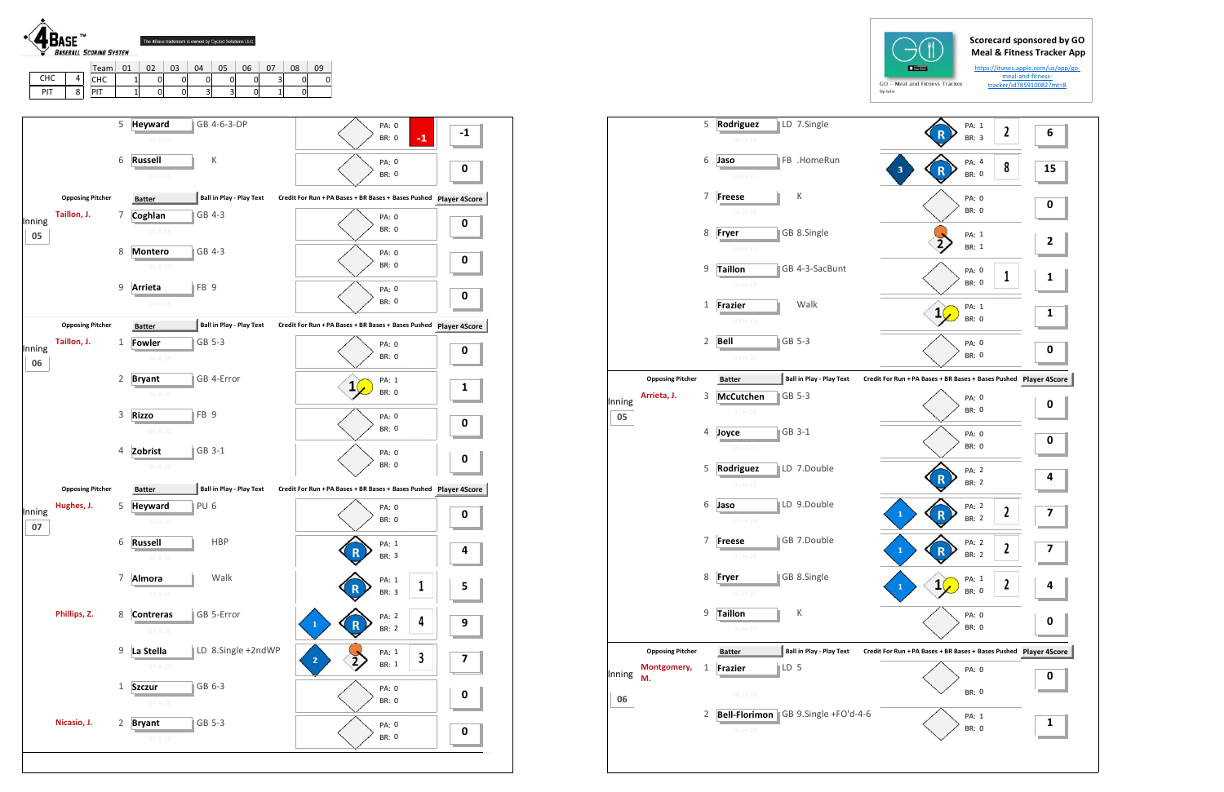## **Scorecard sponsored by GO Meal & Fitness Tracker App**

https://itunes.apple.com/us/app/go‐ meal‐and‐fitness‐ tracker/id785910082?mt=8

|              |                         | 5 | Rodriguez<br>$04 - H - 14$        |      | LD 7.Single                     |                                                               |              | PA: 1<br><b>BR: 3</b> | $\mathbf{2}$ | 6  |
|--------------|-------------------------|---|-----------------------------------|------|---------------------------------|---------------------------------------------------------------|--------------|-----------------------|--------------|----|
|              |                         | 6 | Jaso<br>$04 - H - 15$             |      | FB .HomeRun                     | 3                                                             |              | PA: 4<br><b>BR: 0</b> | 8            | 1! |
|              |                         | 7 | <b>Freese</b>                     |      | К                               |                                                               |              | PA: 0                 |              | 0  |
|              |                         | 8 | $04 - H - 16$<br>Fryer            |      | GB 8.Single                     |                                                               |              | <b>BR: 0</b><br>PA: 1 |              |    |
|              |                         | 9 | $04 - H - 17$<br><b>Taillon</b>   |      | GB 4-3-SacBunt                  |                                                               |              | BR: 1<br>PA: 0        |              | 2  |
|              |                         |   | $04 - H - 18$                     |      |                                 |                                                               |              | <b>BR: 0</b>          | 1            | 1  |
|              |                         | 1 | Frazier<br>$04 - H - 19$          |      | Walk                            |                                                               | $\mathbf{1}$ | PA: 1<br><b>BR: 0</b> |              | 1  |
|              |                         | 2 | <b>Bell</b><br>$04-H-20$          |      | GB 5-3                          |                                                               |              | PA: 0<br><b>BR: 0</b> |              | 0  |
|              | <b>Opposing Pitcher</b> |   | <b>Batter</b>                     |      | <b>Ball in Play - Play Text</b> | Credit For Run + PA Bases + BR Bases + Bases Pushed Player 4S |              |                       |              |    |
| Inning<br>05 | Arrieta, J.             | 3 | <b>McCutchen</b><br>$05 - H - 21$ |      | GB 5-3                          |                                                               |              | PA: 0<br><b>BR: 0</b> |              | 0  |
|              |                         | 4 | Joyce<br>$05 - H - 22$            |      | GB 3-1                          |                                                               |              | PA: 0<br><b>BR: 0</b> |              | 0  |
|              |                         | 5 | Rodriguez<br>$05 - H - 23$        |      | LD 7.Double                     |                                                               |              | PA: 2<br>BR: 2        |              | 4  |
|              |                         | 6 | Jaso<br>$05 - H - 24$             |      | LD 9.Double                     | $\mathbf{1}$                                                  |              | PA: 2<br>BR: 2        | 2            | 7  |
|              |                         | 7 | <b>Freese</b><br>$05-H-25$        |      | GB 7.Double                     |                                                               | n            | PA: 2<br>BR: 2        | າ            | 7  |
|              |                         | 8 | Fryer<br>$05-H-26$                |      | GB 8.Single                     |                                                               |              | PA: 1<br>BR: 0        | 2            | 4  |
|              |                         | 9 | <b>Taillon</b><br>$05-H-27$       |      | К                               |                                                               |              | PA: 0<br>BR: 0        |              | 0  |
|              | <b>Opposing Pitcher</b> |   |                                   |      | <b>Ball in Play - Play Text</b> | Credit For Run + PA Bases + BR Bases + Bases Pushed Player 4S |              |                       |              |    |
| Inning       | Montgomery,<br>M.       | 1 | <b>Batter</b><br><b>Frazier</b>   | LD 5 |                                 |                                                               |              | PA: 0                 |              | 0  |
| 06           |                         |   | $06-H-28$                         |      |                                 |                                                               |              | BR: 0                 |              |    |
|              |                         | 2 | Bell-Florimon<br>06-H-29          |      | GB 9.Single +FO'd-4-6           |                                                               |              | PA: 1<br>BR: 0        |              | 1  |
|              |                         |   |                                   |      |                                 |                                                               |              |                       |              |    |